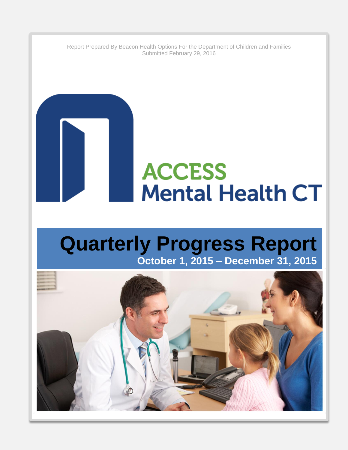Report Prepared By Beacon Health Options For the Department of Children and Families Submitted February 29, 2016

# **ACCESS Mental Health CT**

## **Quarterly Progress Report October 1, 2015 – December 31, 2015**

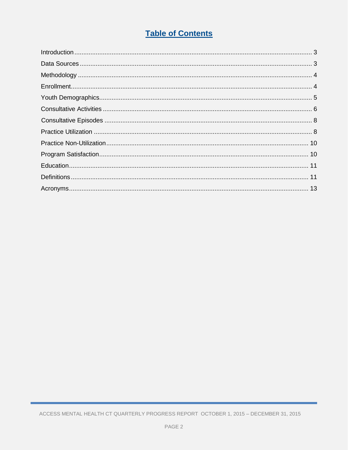### **Table of Contents**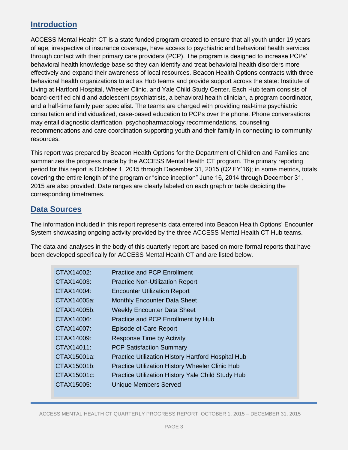#### **Introduction**

ACCESS Mental Health CT is a state funded program created to ensure that all youth under 19 years of age, irrespective of insurance coverage, have access to psychiatric and behavioral health services through contact with their primary care providers (PCP). The program is designed to increase PCPs' behavioral health knowledge base so they can identify and treat behavioral health disorders more effectively and expand their awareness of local resources. Beacon Health Options contracts with three behavioral health organizations to act as Hub teams and provide support across the state: Institute of Living at Hartford Hospital, Wheeler Clinic, and Yale Child Study Center. Each Hub team consists of board-certified child and adolescent psychiatrists, a behavioral health clinician, a program coordinator, and a half-time family peer specialist. The teams are charged with providing real-time psychiatric consultation and individualized, case-based education to PCPs over the phone. Phone conversations may entail diagnostic clarification, psychopharmacology recommendations, counseling recommendations and care coordination supporting youth and their family in connecting to community resources.

This report was prepared by Beacon Health Options for the Department of Children and Families and summarizes the progress made by the ACCESS Mental Health CT program. The primary reporting period for this report is October 1, 2015 through December 31, 2015 (Q2 FY'16); in some metrics, totals covering the entire length of the program or "since inception" June 16, 2014 through December 31, 2015 are also provided. Date ranges are clearly labeled on each graph or table depicting the corresponding timeframes.

#### **Data Sources**

The information included in this report represents data entered into Beacon Health Options' Encounter System showcasing ongoing activity provided by the three ACCESS Mental Health CT Hub teams.

The data and analyses in the body of this quarterly report are based on more formal reports that have been developed specifically for ACCESS Mental Health CT and are listed below.

| CTAX14002:     | <b>Practice and PCP Enrollment</b>                        |
|----------------|-----------------------------------------------------------|
| CTAX14003:     | <b>Practice Non-Utilization Report</b>                    |
| CTAX14004:     | <b>Encounter Utilization Report</b>                       |
| CTAX14005a:    | <b>Monthly Encounter Data Sheet</b>                       |
| $CTAX14005b$ : | <b>Weekly Encounter Data Sheet</b>                        |
| CTAX14006:     | Practice and PCP Enrollment by Hub                        |
| CTAX14007:     | Episode of Care Report                                    |
| CTAX14009:     | <b>Response Time by Activity</b>                          |
| CTAX14011:     | <b>PCP Satisfaction Summary</b>                           |
| CTAX15001a:    | <b>Practice Utilization History Hartford Hospital Hub</b> |
| CTAX15001b:    | <b>Practice Utilization History Wheeler Clinic Hub</b>    |
| CTAX15001c:    | Practice Utilization History Yale Child Study Hub         |
| CTAX15005:     | <b>Unique Members Served</b>                              |
|                |                                                           |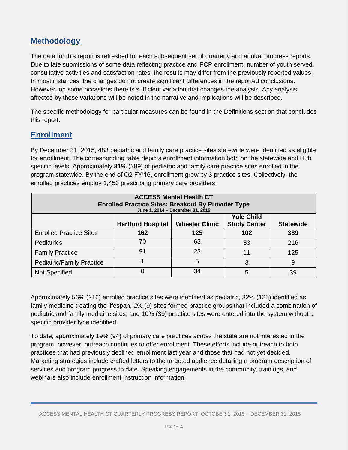#### **Methodology**

The data for this report is refreshed for each subsequent set of quarterly and annual progress reports. Due to late submissions of some data reflecting practice and PCP enrollment, number of youth served, consultative activities and satisfaction rates, the results may differ from the previously reported values. In most instances, the changes do not create significant differences in the reported conclusions. However, on some occasions there is sufficient variation that changes the analysis. Any analysis affected by these variations will be noted in the narrative and implications will be described.

The specific methodology for particular measures can be found in the Definitions section that concludes this report.

#### **Enrollment**

By December 31, 2015, 483 pediatric and family care practice sites statewide were identified as eligible for enrollment. The corresponding table depicts enrollment information both on the statewide and Hub specific levels. Approximately **81%** (389) of pediatric and family care practice sites enrolled in the program statewide. By the end of Q2 FY'16, enrollment grew by 3 practice sites. Collectively, the enrolled practices employ 1,453 prescribing primary care providers.

| <b>ACCESS Mental Health CT</b><br><b>Enrolled Practice Sites: Breakout By Provider Type</b><br>June 1, 2014 - December 31, 2015 |     |     |     |     |
|---------------------------------------------------------------------------------------------------------------------------------|-----|-----|-----|-----|
| <b>Yale Child</b><br><b>Study Center</b><br><b>Wheeler Clinic</b><br><b>Hartford Hospital</b><br><b>Statewide</b>               |     |     |     |     |
| <b>Enrolled Practice Sites</b>                                                                                                  | 162 | 125 | 102 | 389 |
| <b>Pediatrics</b>                                                                                                               | 70  | 63  | 83  | 216 |
| <b>Family Practice</b>                                                                                                          | 91  | 23  | 11  | 125 |
| <b>Pediatric/Family Practice</b>                                                                                                |     | 5   | 3   | 9   |
| <b>Not Specified</b>                                                                                                            |     | 34  | 5   | 39  |

Approximately 56% (216) enrolled practice sites were identified as pediatric, 32% (125) identified as family medicine treating the lifespan, 2% (9) sites formed practice groups that included a combination of pediatric and family medicine sites, and 10% (39) practice sites were entered into the system without a specific provider type identified.

To date, approximately 19% (94) of primary care practices across the state are not interested in the program, however, outreach continues to offer enrollment. These efforts include outreach to both practices that had previously declined enrollment last year and those that had not yet decided. Marketing strategies include crafted letters to the targeted audience detailing a program description of services and program progress to date. Speaking engagements in the community, trainings, and webinars also include enrollment instruction information.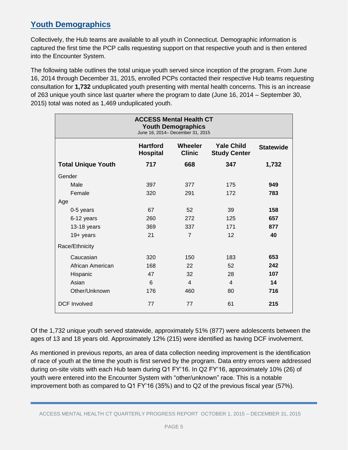#### **Youth Demographics**

Collectively, the Hub teams are available to all youth in Connecticut. Demographic information is captured the first time the PCP calls requesting support on that respective youth and is then entered into the Encounter System.

The following table outlines the total unique youth served since inception of the program. From June 16, 2014 through December 31, 2015, enrolled PCPs contacted their respective Hub teams requesting consultation for **1,732** unduplicated youth presenting with mental health concerns. This is an increase of 263 unique youth since last quarter where the program to date (June 16, 2014 – September 30, 2015) total was noted as 1,469 unduplicated youth.

|                           | <b>ACCESS Mental Health CT</b><br><b>Youth Demographics</b><br>June 16, 2014- December 31, 2015                   |                |                  |       |  |
|---------------------------|-------------------------------------------------------------------------------------------------------------------|----------------|------------------|-------|--|
|                           | <b>Hartford</b><br><b>Yale Child</b><br><b>Wheeler</b><br><b>Clinic</b><br><b>Hospital</b><br><b>Study Center</b> |                | <b>Statewide</b> |       |  |
| <b>Total Unique Youth</b> | 717                                                                                                               | 668            | 347              | 1,732 |  |
| Gender                    |                                                                                                                   |                |                  |       |  |
| Male                      | 397                                                                                                               | 377            | 175              | 949   |  |
| Female                    | 320                                                                                                               | 291            | 172              | 783   |  |
| Age                       |                                                                                                                   |                |                  |       |  |
| 0-5 years                 | 67                                                                                                                | 52             | 39               | 158   |  |
| 6-12 years                | 260                                                                                                               | 272            | 125              | 657   |  |
| 13-18 years               | 369                                                                                                               | 337            | 171              | 877   |  |
| $19+$ years               | 21                                                                                                                | $\overline{7}$ | 12               | 40    |  |
| Race/Ethnicity            |                                                                                                                   |                |                  |       |  |
| Caucasian                 | 320                                                                                                               | 150            | 183              | 653   |  |
| African American          | 168                                                                                                               | 22             | 52               | 242   |  |
| Hispanic                  | 47                                                                                                                | 32             | 28               | 107   |  |
| Asian                     | 6                                                                                                                 | $\overline{4}$ | $\overline{4}$   | 14    |  |
| Other/Unknown             | 176                                                                                                               | 460            | 80               | 716   |  |
| <b>DCF</b> Involved       | 77                                                                                                                | 77             | 61               | 215   |  |

Of the 1,732 unique youth served statewide, approximately 51% (877) were adolescents between the ages of 13 and 18 years old. Approximately 12% (215) were identified as having DCF involvement.

As mentioned in previous reports, an area of data collection needing improvement is the identification of race of youth at the time the youth is first served by the program. Data entry errors were addressed during on-site visits with each Hub team during Q1 FY'16. In Q2 FY'16, approximately 10% (26) of youth were entered into the Encounter System with "other/unknown" race. This is a notable improvement both as compared to Q1 FY'16 (35%) and to Q2 of the previous fiscal year (57%).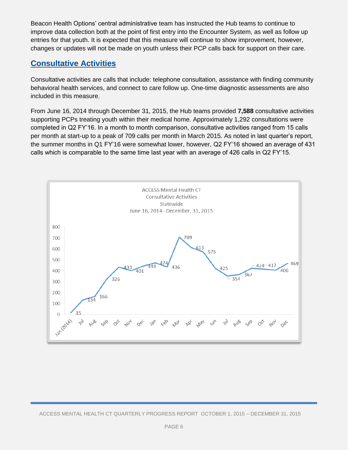Beacon Health Options' central administrative team has instructed the Hub teams to continue to improve data collection both at the point of first entry into the Encounter System, as well as follow up entries for that youth. It is expected that this measure will continue to show improvement, however, changes or updates will not be made on youth unless their PCP calls back for support on their care.

#### **Consultative Activities**

Consultative activities are calls that include: telephone consultation, assistance with finding community behavioral health services, and connect to care follow up. One-time diagnostic assessments are also included in this measure.

From June 16, 2014 through December 31, 2015, the Hub teams provided **7,588** consultative activities supporting PCPs treating youth within their medical home. Approximately 1,292 consultations were completed in Q2 FY'16. In a month to month comparison, consultative activities ranged from 15 calls per month at start-up to a peak of 709 calls per month in March 2015. As noted in last quarter's report, the summer months in Q1 FY'16 were somewhat lower, however, Q2 FY'16 showed an average of 431 calls which is comparable to the same time last year with an average of 426 calls in Q2 FY'15.

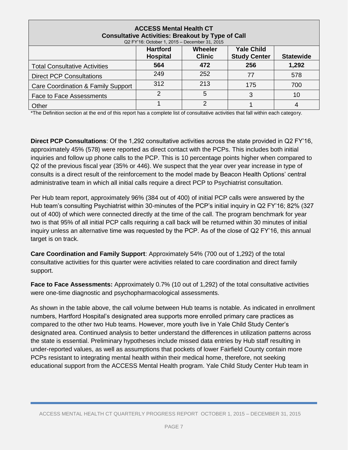| <b>ACCESS Mental Health CT</b><br><b>Consultative Activities: Breakout by Type of Call</b><br>Q2 FY'16: October 1, 2015 - December 31, 2015 |     |     |     |       |  |
|---------------------------------------------------------------------------------------------------------------------------------------------|-----|-----|-----|-------|--|
| <b>Yale Child</b><br><b>Hartford</b><br>Wheeler<br><b>Study Center</b><br><b>Clinic</b><br><b>Hospital</b><br><b>Statewide</b>              |     |     |     |       |  |
| <b>Total Consultative Activities</b>                                                                                                        | 564 | 472 | 256 | 1,292 |  |
| <b>Direct PCP Consultations</b>                                                                                                             | 249 | 252 | 77  | 578   |  |
| Care Coordination & Family Support                                                                                                          | 312 | 213 | 175 | 700   |  |
| <b>Face to Face Assessments</b>                                                                                                             |     | 5   | 3   | 10    |  |
| Other                                                                                                                                       |     | っ   |     | 4     |  |

\*The Definition section at the end of this report has a complete list of consultative activities that fall within each category.

**Direct PCP Consultations**: Of the 1,292 consultative activities across the state provided in Q2 FY'16, approximately 45% (578) were reported as direct contact with the PCPs. This includes both initial inquiries and follow up phone calls to the PCP. This is 10 percentage points higher when compared to Q2 of the previous fiscal year (35% or 446). We suspect that the year over year increase in type of consults is a direct result of the reinforcement to the model made by Beacon Health Options' central administrative team in which all initial calls require a direct PCP to Psychiatrist consultation.

Per Hub team report, approximately 96% (384 out of 400) of initial PCP calls were answered by the Hub team's consulting Psychiatrist within 30-minutes of the PCP's initial inquiry in Q2 FY'16; 82% (327 out of 400) of which were connected directly at the time of the call. The program benchmark for year two is that 95% of all initial PCP calls requiring a call back will be returned within 30 minutes of initial inquiry unless an alternative time was requested by the PCP. As of the close of Q2 FY'16, this annual target is on track.

**Care Coordination and Family Support**: Approximately 54% (700 out of 1,292) of the total consultative activities for this quarter were activities related to care coordination and direct family support.

**Face to Face Assessments:** Approximately 0.7% (10 out of 1,292) of the total consultative activities were one-time diagnostic and psychopharmacological assessments.

As shown in the table above, the call volume between Hub teams is notable. As indicated in enrollment numbers, Hartford Hospital's designated area supports more enrolled primary care practices as compared to the other two Hub teams. However, more youth live in Yale Child Study Center's designated area. Continued analysis to better understand the differences in utilization patterns across the state is essential. Preliminary hypotheses include missed data entries by Hub staff resulting in under-reported values, as well as assumptions that pockets of lower Fairfield County contain more PCPs resistant to integrating mental health within their medical home, therefore, not seeking educational support from the ACCESS Mental Health program. Yale Child Study Center Hub team in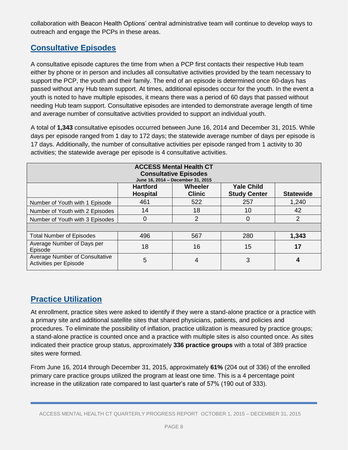collaboration with Beacon Health Options' central administrative team will continue to develop ways to outreach and engage the PCPs in these areas.

#### **Consultative Episodes**

A consultative episode captures the time from when a PCP first contacts their respective Hub team either by phone or in person and includes all consultative activities provided by the team necessary to support the PCP, the youth and their family. The end of an episode is determined once 60-days has passed without any Hub team support. At times, additional episodes occur for the youth. In the event a youth is noted to have multiple episodes, it means there was a period of 60 days that passed without needing Hub team support. Consultative episodes are intended to demonstrate average length of time and average number of consultative activities provided to support an individual youth.

A total of **1,343** consultative episodes occurred between June 16, 2014 and December 31, 2015. While days per episode ranged from 1 day to 172 days; the statewide average number of days per episode is 17 days. Additionally, the number of consultative activities per episode ranged from 1 activity to 30 activities; the statewide average per episode is 4 consultative activities.

| <b>ACCESS Mental Health CT</b><br><b>Consultative Episodes</b><br>June 16, 2014 - December 31, 2015 |                                    |                                 |                                          |                  |  |
|-----------------------------------------------------------------------------------------------------|------------------------------------|---------------------------------|------------------------------------------|------------------|--|
|                                                                                                     | <b>Hartford</b><br><b>Hospital</b> | <b>Wheeler</b><br><b>Clinic</b> | <b>Yale Child</b><br><b>Study Center</b> | <b>Statewide</b> |  |
| Number of Youth with 1 Episode                                                                      | 461                                | 522                             | 257                                      | 1,240            |  |
| Number of Youth with 2 Episodes                                                                     | 14                                 | 18                              | 10                                       | 42               |  |
| Number of Youth with 3 Episodes                                                                     | 0                                  | $\overline{2}$                  | 0                                        | 2                |  |
|                                                                                                     |                                    |                                 |                                          |                  |  |
| <b>Total Number of Episodes</b>                                                                     | 496                                | 567                             | 280                                      | 1,343            |  |
| Average Number of Days per<br>Episode                                                               | 18                                 | 16                              | 15                                       | 17               |  |
| Average Number of Consultative<br>Activities per Episode                                            | 5                                  | 4                               | 3                                        | 4                |  |

#### **Practice Utilization**

At enrollment, practice sites were asked to identify if they were a stand-alone practice or a practice with a primary site and additional satellite sites that shared physicians, patients, and policies and procedures. To eliminate the possibility of inflation, practice utilization is measured by practice groups; a stand-alone practice is counted once and a practice with multiple sites is also counted once. As sites indicated their practice group status, approximately **336 practice groups** with a total of 389 practice sites were formed.

From June 16, 2014 through December 31, 2015, approximately **61%** (204 out of 336) of the enrolled primary care practice groups utilized the program at least one time. This is a 4 percentage point increase in the utilization rate compared to last quarter's rate of 57% (190 out of 333).

ACCESS MENTAL HEALTH CT QUARTERLY PROGRESS REPORT OCTOBER 1, 2015 – DECEMBER 31, 2015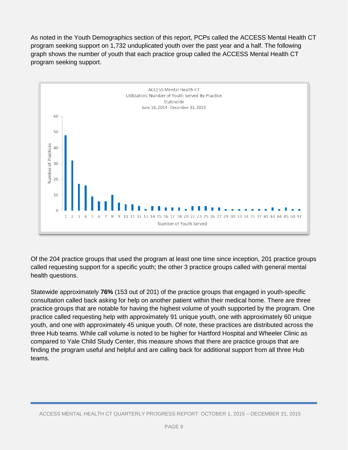As noted in the Youth Demographics section of this report, PCPs called the ACCESS Mental Health CT program seeking support on 1,732 unduplicated youth over the past year and a half. The following graph shows the number of youth that each practice group called the ACCESS Mental Health CT program seeking support.



Of the 204 practice groups that used the program at least one time since inception, 201 practice groups called requesting support for a specific youth; the other 3 practice groups called with general mental health questions.

Statewide approximately **76%** (153 out of 201) of the practice groups that engaged in youth-specific consultation called back asking for help on another patient within their medical home. There are three practice groups that are notable for having the highest volume of youth supported by the program. One practice called requesting help with approximately 91 unique youth, one with approximately 60 unique youth, and one with approximately 45 unique youth. Of note, these practices are distributed across the three Hub teams. While call volume is noted to be higher for Hartford Hospital and Wheeler Clinic as compared to Yale Child Study Center, this measure shows that there are practice groups that are finding the program useful and helpful and are calling back for additional support from all three Hub teams.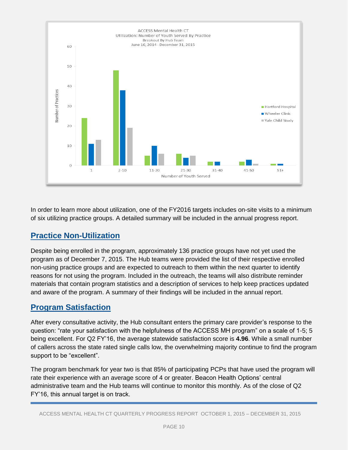

In order to learn more about utilization, one of the FY2016 targets includes on-site visits to a minimum of six utilizing practice groups. A detailed summary will be included in the annual progress report.

#### **Practice Non-Utilization**

Despite being enrolled in the program, approximately 136 practice groups have not yet used the program as of December 7, 2015. The Hub teams were provided the list of their respective enrolled non-using practice groups and are expected to outreach to them within the next quarter to identify reasons for not using the program. Included in the outreach, the teams will also distribute reminder materials that contain program statistics and a description of services to help keep practices updated and aware of the program. A summary of their findings will be included in the annual report.

#### **Program Satisfaction**

After every consultative activity, the Hub consultant enters the primary care provider's response to the question: "rate your satisfaction with the helpfulness of the ACCESS MH program" on a scale of 1-5; 5 being excellent. For Q2 FY'16, the average statewide satisfaction score is **4.96**. While a small number of callers across the state rated single calls low, the overwhelming majority continue to find the program support to be "excellent".

The program benchmark for year two is that 85% of participating PCPs that have used the program will rate their experience with an average score of 4 or greater. Beacon Health Options' central administrative team and the Hub teams will continue to monitor this monthly. As of the close of Q2 FY'16, this annual target is on track.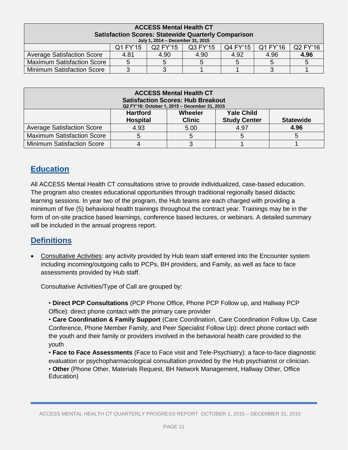| <b>ACCESS Mental Health CT</b>                             |          |                                  |          |          |          |                        |
|------------------------------------------------------------|----------|----------------------------------|----------|----------|----------|------------------------|
| <b>Satisfaction Scores: Statewide Quarterly Comparison</b> |          |                                  |          |          |          |                        |
|                                                            |          | July 1, 2014 - December 31, 2015 |          |          |          |                        |
|                                                            | Q1 FY'15 | Q2 FY'15                         | Q3 FY'15 | Q4 FY'15 | Q1 FY'16 | $\overline{)$ Q2 FY'16 |
| <b>Average Satisfaction Score</b>                          | 4.81     | 4.90                             | 4.90     | 4.92     | 4.96     | 4.96                   |
| <b>Maximum Satisfaction Score</b>                          | 5        |                                  | 5.       |          |          |                        |
| <b>Minimum Satisfaction Score</b>                          |          |                                  |          |          |          |                        |

| <b>ACCESS Mental Health CT</b><br><b>Satisfaction Scores: Hub Breakout</b><br>Q2 FY'16: October 1, 2015 - December 31, 2015 |                                    |                          |                                          |                  |
|-----------------------------------------------------------------------------------------------------------------------------|------------------------------------|--------------------------|------------------------------------------|------------------|
|                                                                                                                             | <b>Hartford</b><br><b>Hospital</b> | Wheeler<br><b>Clinic</b> | <b>Yale Child</b><br><b>Study Center</b> | <b>Statewide</b> |
| <b>Average Satisfaction Score</b>                                                                                           | 4.93                               | 5.00                     | 4.97                                     | 4.96             |
| <b>Maximum Satisfaction Score</b>                                                                                           | 5                                  | 5                        |                                          |                  |
| <b>Minimum Satisfaction Score</b>                                                                                           | 4                                  |                          |                                          |                  |

#### **Education**

All ACCESS Mental Health CT consultations strive to provide individualized, case-based education. The program also creates educational opportunities through traditional regionally based didactic learning sessions. In year two of the program, the Hub teams are each charged with providing a minimum of five (5) behavioral health trainings throughout the contract year. Trainings may be in the form of on-site practice based learnings, conference based lectures, or webinars. A detailed summary will be included in the annual progress report.

#### **Definitions**

 Consultative Activities: any activity provided by Hub team staff entered into the Encounter system including incoming/outgoing calls to PCPs, BH providers, and Family, as well as face to face assessments provided by Hub staff.

Consultative Activities/Type of Call are grouped by:

• **Direct PCP Consultations** (PCP Phone Office, Phone PCP Follow up, and Hallway PCP Office): direct phone contact with the primary care provider

• **Care Coordination & Family Support** (Care Coordination, Care Coordination Follow Up, Case Conference, Phone Member Family, and Peer Specialist Follow Up): direct phone contact with the youth and their family or providers involved in the behavioral health care provided to the youth

• **Face to Face Assessments** (Face to Face visit and Tele-Psychiatry): a face-to-face diagnostic evaluation or psychopharmacological consultation provided by the Hub psychiatrist or clinician.

• **Other** (Phone Other, Materials Request, BH Network Management, Hallway Other, Office Education)

ACCESS MENTAL HEALTH CT QUARTERLY PROGRESS REPORT OCTOBER 1, 2015 – DECEMBER 31, 2015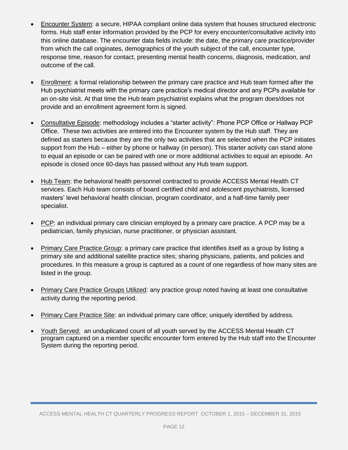- Encounter System: a secure, HIPAA compliant online data system that houses structured electronic forms. Hub staff enter information provided by the PCP for every encounter/consultative activity into this online database. The encounter data fields include: the date, the primary care practice/provider from which the call originates, demographics of the youth subject of the call, encounter type, response time, reason for contact, presenting mental health concerns, diagnosis, medication, and outcome of the call.
- Enrollment: a formal relationship between the primary care practice and Hub team formed after the Hub psychiatrist meets with the primary care practice's medical director and any PCPs available for an on-site visit. At that time the Hub team psychiatrist explains what the program does/does not provide and an enrollment agreement form is signed.
- Consultative Episode: methodology includes a "starter activity": Phone PCP Office or Hallway PCP Office. These two activities are entered into the Encounter system by the Hub staff. They are defined as starters because they are the only two activities that are selected when the PCP initiates support from the Hub – either by phone or hallway (in person). This starter activity can stand alone to equal an episode or can be paired with one or more additional activities to equal an episode. An episode is closed once 60-days has passed without any Hub team support.
- Hub Team: the behavioral health personnel contracted to provide ACCESS Mental Health CT services. Each Hub team consists of board certified child and adolescent psychiatrists, licensed masters' level behavioral health clinician, program coordinator, and a half-time family peer specialist.
- PCP: an individual primary care clinician employed by a primary care practice. A PCP may be a pediatrician, family physician, nurse practitioner, or physician assistant.
- Primary Care Practice Group: a primary care practice that identifies itself as a group by listing a primary site and additional satellite practice sites; sharing physicians, patients, and policies and procedures. In this measure a group is captured as a count of one regardless of how many sites are listed in the group.
- Primary Care Practice Groups Utilized: any practice group noted having at least one consultative activity during the reporting period.
- Primary Care Practice Site: an individual primary care office; uniquely identified by address.
- Youth Served: an unduplicated count of all youth served by the ACCESS Mental Health CT program captured on a member specific encounter form entered by the Hub staff into the Encounter System during the reporting period.